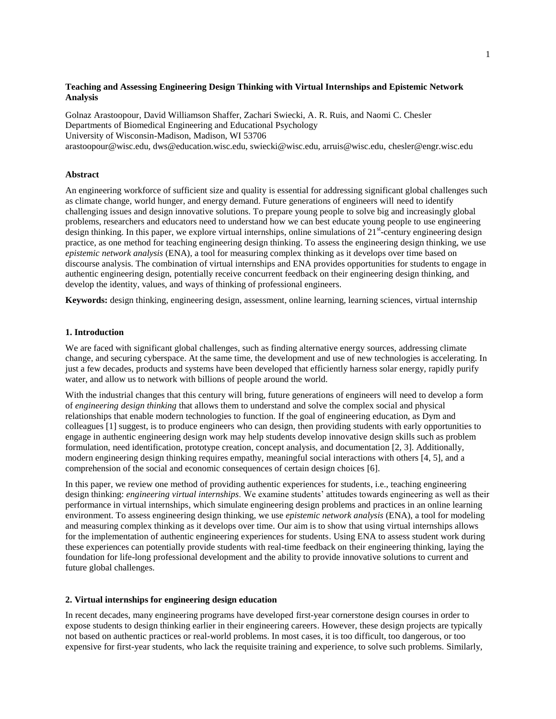# **Teaching and Assessing Engineering Design Thinking with Virtual Internships and Epistemic Network Analysis**

Golnaz Arastoopour, David Williamson Shaffer, Zachari Swiecki, A. R. Ruis, and Naomi C. Chesler Departments of Biomedical Engineering and Educational Psychology University of Wisconsin-Madison, Madison, WI 53706 arastoopour@wisc.edu, dws@education.wisc.edu, swiecki@wisc.edu, arruis@wisc.edu, chesler@engr.wisc.edu

## **Abstract**

An engineering workforce of sufficient size and quality is essential for addressing significant global challenges such as climate change, world hunger, and energy demand. Future generations of engineers will need to identify challenging issues and design innovative solutions. To prepare young people to solve big and increasingly global problems, researchers and educators need to understand how we can best educate young people to use engineering  $\alpha$  design thinking. In this paper, we explore virtual internships, online simulations of 21<sup>st</sup>-century engineering design practice, as one method for teaching engineering design thinking. To assess the engineering design thinking, we use *epistemic network analysis* (ENA), a tool for measuring complex thinking as it develops over time based on discourse analysis. The combination of virtual internships and ENA provides opportunities for students to engage in authentic engineering design, potentially receive concurrent feedback on their engineering design thinking, and develop the identity, values, and ways of thinking of professional engineers.

**Keywords:** design thinking, engineering design, assessment, online learning, learning sciences, virtual internship

# **1. Introduction**

We are faced with significant global challenges, such as finding alternative energy sources, addressing climate change, and securing cyberspace. At the same time, the development and use of new technologies is accelerating. In just a few decades, products and systems have been developed that efficiently harness solar energy, rapidly purify water, and allow us to network with billions of people around the world.

With the industrial changes that this century will bring, future generations of engineers will need to develop a form of *engineering design thinking* that allows them to understand and solve the complex social and physical relationships that enable modern technologies to function. If the goal of engineering education, as Dym and colleagues [1] suggest, is to produce engineers who can design, then providing students with early opportunities to engage in authentic engineering design work may help students develop innovative design skills such as problem formulation, need identification, prototype creation, concept analysis, and documentation [2, 3]. Additionally, modern engineering design thinking requires empathy, meaningful social interactions with others [4, 5], and a comprehension of the social and economic consequences of certain design choices [6].

In this paper, we review one method of providing authentic experiences for students, i.e., teaching engineering design thinking: *engineering virtual internships*. We examine students' attitudes towards engineering as well as their performance in virtual internships, which simulate engineering design problems and practices in an online learning environment. To assess engineering design thinking, we use *epistemic network analysis* (ENA), a tool for modeling and measuring complex thinking as it develops over time. Our aim is to show that using virtual internships allows for the implementation of authentic engineering experiences for students. Using ENA to assess student work during these experiences can potentially provide students with real-time feedback on their engineering thinking, laying the foundation for life-long professional development and the ability to provide innovative solutions to current and future global challenges.

## **2. Virtual internships for engineering design education**

In recent decades, many engineering programs have developed first-year cornerstone design courses in order to expose students to design thinking earlier in their engineering careers. However, these design projects are typically not based on authentic practices or real-world problems. In most cases, it is too difficult, too dangerous, or too expensive for first-year students, who lack the requisite training and experience, to solve such problems. Similarly,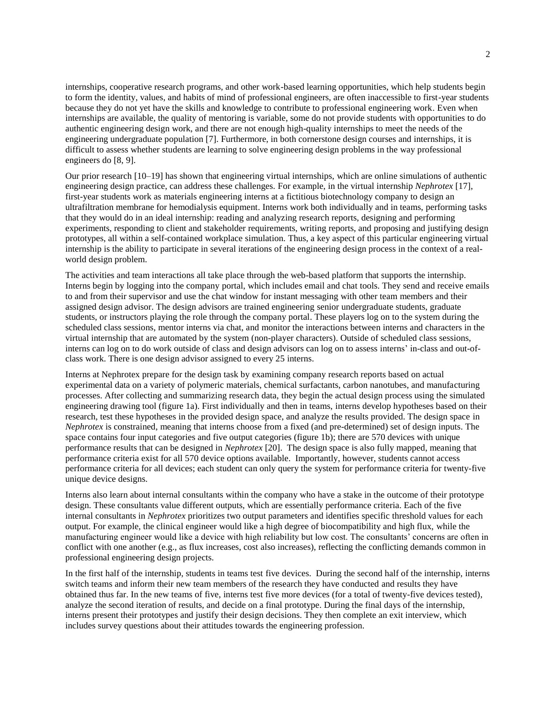internships, cooperative research programs, and other work-based learning opportunities, which help students begin to form the identity, values, and habits of mind of professional engineers, are often inaccessible to first-year students because they do not yet have the skills and knowledge to contribute to professional engineering work. Even when internships are available, the quality of mentoring is variable, some do not provide students with opportunities to do authentic engineering design work, and there are not enough high-quality internships to meet the needs of the engineering undergraduate population [7]. Furthermore, in both cornerstone design courses and internships, it is difficult to assess whether students are learning to solve engineering design problems in the way professional engineers do [8, 9].

Our prior research [10–19] has shown that engineering virtual internships, which are online simulations of authentic engineering design practice, can address these challenges. For example, in the virtual internship *Nephrotex* [17], first-year students work as materials engineering interns at a fictitious biotechnology company to design an ultrafiltration membrane for hemodialysis equipment. Interns work both individually and in teams, performing tasks that they would do in an ideal internship: reading and analyzing research reports, designing and performing experiments, responding to client and stakeholder requirements, writing reports, and proposing and justifying design prototypes, all within a self-contained workplace simulation. Thus, a key aspect of this particular engineering virtual internship is the ability to participate in several iterations of the engineering design process in the context of a realworld design problem.

The activities and team interactions all take place through the web-based platform that supports the internship. Interns begin by logging into the company portal, which includes email and chat tools. They send and receive emails to and from their supervisor and use the chat window for instant messaging with other team members and their assigned design advisor. The design advisors are trained engineering senior undergraduate students, graduate students, or instructors playing the role through the company portal. These players log on to the system during the scheduled class sessions, mentor interns via chat, and monitor the interactions between interns and characters in the virtual internship that are automated by the system (non-player characters). Outside of scheduled class sessions, interns can log on to do work outside of class and design advisors can log on to assess interns' in-class and out-ofclass work. There is one design advisor assigned to every 25 interns.

Interns at Nephrotex prepare for the design task by examining company research reports based on actual experimental data on a variety of polymeric materials, chemical surfactants, carbon nanotubes, and manufacturing processes. After collecting and summarizing research data, they begin the actual design process using the simulated engineering drawing tool (figure 1a). First individually and then in teams, interns develop hypotheses based on their research, test these hypotheses in the provided design space, and analyze the results provided. The design space in *Nephrotex* is constrained, meaning that interns choose from a fixed (and pre-determined) set of design inputs. The space contains four input categories and five output categories (figure 1b); there are 570 devices with unique performance results that can be designed in *Nephrotex* [20]. The design space is also fully mapped, meaning that performance criteria exist for all 570 device options available. Importantly, however, students cannot access performance criteria for all devices; each student can only query the system for performance criteria for twenty-five unique device designs.

Interns also learn about internal consultants within the company who have a stake in the outcome of their prototype design. These consultants value different outputs, which are essentially performance criteria. Each of the five internal consultants in *Nephrotex* prioritizes two output parameters and identifies specific threshold values for each output. For example, the clinical engineer would like a high degree of biocompatibility and high flux, while the manufacturing engineer would like a device with high reliability but low cost. The consultants' concerns are often in conflict with one another (e.g., as flux increases, cost also increases), reflecting the conflicting demands common in professional engineering design projects.

In the first half of the internship, students in teams test five devices. During the second half of the internship, interns switch teams and inform their new team members of the research they have conducted and results they have obtained thus far. In the new teams of five, interns test five more devices (for a total of twenty-five devices tested), analyze the second iteration of results, and decide on a final prototype. During the final days of the internship, interns present their prototypes and justify their design decisions. They then complete an exit interview, which includes survey questions about their attitudes towards the engineering profession.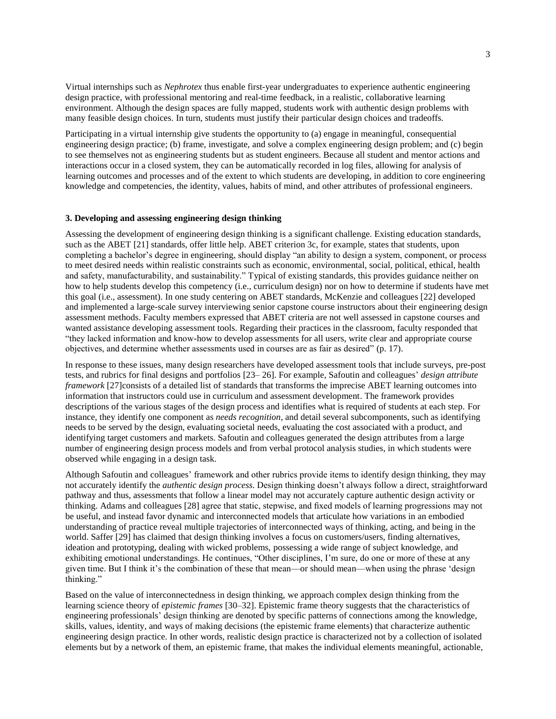Virtual internships such as *Nephrotex* thus enable first-year undergraduates to experience authentic engineering design practice, with professional mentoring and real-time feedback, in a realistic, collaborative learning environment. Although the design spaces are fully mapped, students work with authentic design problems with many feasible design choices. In turn, students must justify their particular design choices and tradeoffs.

Participating in a virtual internship give students the opportunity to (a) engage in meaningful, consequential engineering design practice; (b) frame, investigate, and solve a complex engineering design problem; and (c) begin to see themselves not as engineering students but as student engineers. Because all student and mentor actions and interactions occur in a closed system, they can be automatically recorded in log files, allowing for analysis of learning outcomes and processes and of the extent to which students are developing, in addition to core engineering knowledge and competencies, the identity, values, habits of mind, and other attributes of professional engineers.

### **3. Developing and assessing engineering design thinking**

Assessing the development of engineering design thinking is a significant challenge. Existing education standards, such as the ABET [21] standards, offer little help. ABET criterion 3c, for example, states that students, upon completing a bachelor's degree in engineering, should display "an ability to design a system, component, or process to meet desired needs within realistic constraints such as economic, environmental, social, political, ethical, health and safety, manufacturability, and sustainability." Typical of existing standards, this provides guidance neither on how to help students develop this competency (i.e., curriculum design) nor on how to determine if students have met this goal (i.e., assessment). In one study centering on ABET standards, McKenzie and colleagues [22] developed and implemented a large-scale survey interviewing senior capstone course instructors about their engineering design assessment methods. Faculty members expressed that ABET criteria are not well assessed in capstone courses and wanted assistance developing assessment tools. Regarding their practices in the classroom, faculty responded that "they lacked information and know-how to develop assessments for all users, write clear and appropriate course objectives, and determine whether assessments used in courses are as fair as desired" (p. 17).

In response to these issues, many design researchers have developed assessment tools that include surveys, pre-post tests, and rubrics for final designs and portfolios [23– 26]. For example, Safoutin and colleagues' *design attribute framework* [27] consists of a detailed list of standards that transforms the imprecise ABET learning outcomes into information that instructors could use in curriculum and assessment development. The framework provides descriptions of the various stages of the design process and identifies what is required of students at each step. For instance, they identify one component as *needs recognition*, and detail several subcomponents, such as identifying needs to be served by the design, evaluating societal needs, evaluating the cost associated with a product, and identifying target customers and markets. Safoutin and colleagues generated the design attributes from a large number of engineering design process models and from verbal protocol analysis studies, in which students were observed while engaging in a design task.

Although Safoutin and colleagues' framework and other rubrics provide items to identify design thinking, they may not accurately identify the *authentic design process*. Design thinking doesn't always follow a direct, straightforward pathway and thus, assessments that follow a linear model may not accurately capture authentic design activity or thinking. Adams and colleagues [28] agree that static, stepwise, and fixed models of learning progressions may not be useful, and instead favor dynamic and interconnected models that articulate how variations in an embodied understanding of practice reveal multiple trajectories of interconnected ways of thinking, acting, and being in the world. Saffer [29] has claimed that design thinking involves a focus on customers/users, finding alternatives, ideation and prototyping, dealing with wicked problems, possessing a wide range of subject knowledge, and exhibiting emotional understandings. He continues, "Other disciplines, I'm sure, do one or more of these at any given time. But I think it's the combination of these that mean—or should mean—when using the phrase 'design thinking."

Based on the value of interconnectedness in design thinking, we approach complex design thinking from the learning science theory of *epistemic frames* [30–32]. Epistemic frame theory suggests that the characteristics of engineering professionals' design thinking are denoted by specific patterns of connections among the knowledge, skills, values, identity, and ways of making decisions (the epistemic frame elements) that characterize authentic engineering design practice. In other words, realistic design practice is characterized not by a collection of isolated elements but by a network of them, an epistemic frame, that makes the individual elements meaningful, actionable,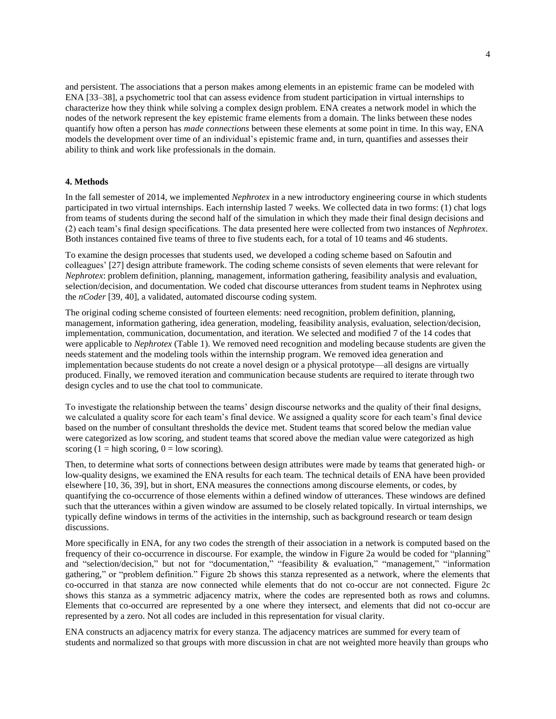and persistent. The associations that a person makes among elements in an epistemic frame can be modeled with ENA [33–38], a psychometric tool that can assess evidence from student participation in virtual internships to characterize how they think while solving a complex design problem. ENA creates a network model in which the nodes of the network represent the key epistemic frame elements from a domain. The links between these nodes quantify how often a person has *made connections* between these elements at some point in time. In this way, ENA models the development over time of an individual's epistemic frame and, in turn, quantifies and assesses their ability to think and work like professionals in the domain.

## **4. Methods**

In the fall semester of 2014, we implemented *Nephrotex* in a new introductory engineering course in which students participated in two virtual internships. Each internship lasted 7 weeks. We collected data in two forms: (1) chat logs from teams of students during the second half of the simulation in which they made their final design decisions and (2) each team's final design specifications. The data presented here were collected from two instances of *Nephrotex*. Both instances contained five teams of three to five students each, for a total of 10 teams and 46 students.

To examine the design processes that students used, we developed a coding scheme based on Safoutin and colleagues' [27] design attribute framework. The coding scheme consists of seven elements that were relevant for *Nephrotex*: problem definition, planning, management, information gathering, feasibility analysis and evaluation, selection/decision, and documentation. We coded chat discourse utterances from student teams in Nephrotex using the *nCoder* [39, 40], a validated, automated discourse coding system.

The original coding scheme consisted of fourteen elements: need recognition, problem definition, planning, management, information gathering, idea generation, modeling, feasibility analysis, evaluation, selection/decision, implementation, communication, documentation, and iteration. We selected and modified 7 of the 14 codes that were applicable to *Nephrotex* (Table 1). We removed need recognition and modeling because students are given the needs statement and the modeling tools within the internship program. We removed idea generation and implementation because students do not create a novel design or a physical prototype—all designs are virtually produced. Finally, we removed iteration and communication because students are required to iterate through two design cycles and to use the chat tool to communicate.

To investigate the relationship between the teams' design discourse networks and the quality of their final designs, we calculated a quality score for each team's final device. We assigned a quality score for each team's final device based on the number of consultant thresholds the device met. Student teams that scored below the median value were categorized as low scoring, and student teams that scored above the median value were categorized as high scoring (1 = high scoring,  $0 =$  low scoring).

Then, to determine what sorts of connections between design attributes were made by teams that generated high- or low-quality designs, we examined the ENA results for each team. The technical details of ENA have been provided elsewhere [10, 36, 39], but in short, ENA measures the connections among discourse elements, or codes, by quantifying the co-occurrence of those elements within a defined window of utterances. These windows are defined such that the utterances within a given window are assumed to be closely related topically. In virtual internships, we typically define windows in terms of the activities in the internship, such as background research or team design discussions.

More specifically in ENA, for any two codes the strength of their association in a network is computed based on the frequency of their co-occurrence in discourse. For example, the window in Figure 2a would be coded for "planning" and "selection/decision," but not for "documentation," "feasibility & evaluation," "management," "information gathering," or "problem definition." Figure 2b shows this stanza represented as a network, where the elements that co-occurred in that stanza are now connected while elements that do not co-occur are not connected. Figure 2c shows this stanza as a symmetric adjacency matrix, where the codes are represented both as rows and columns. Elements that co-occurred are represented by a one where they intersect, and elements that did not co-occur are represented by a zero. Not all codes are included in this representation for visual clarity.

ENA constructs an adjacency matrix for every stanza. The adjacency matrices are summed for every team of students and normalized so that groups with more discussion in chat are not weighted more heavily than groups who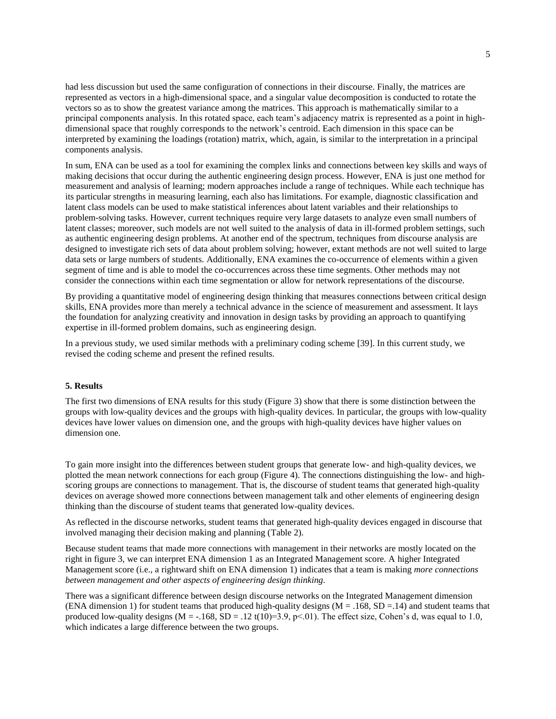had less discussion but used the same configuration of connections in their discourse. Finally, the matrices are represented as vectors in a high-dimensional space, and a singular value decomposition is conducted to rotate the vectors so as to show the greatest variance among the matrices. This approach is mathematically similar to a principal components analysis. In this rotated space, each team's adjacency matrix is represented as a point in highdimensional space that roughly corresponds to the network's centroid. Each dimension in this space can be interpreted by examining the loadings (rotation) matrix, which, again, is similar to the interpretation in a principal components analysis.

In sum, ENA can be used as a tool for examining the complex links and connections between key skills and ways of making decisions that occur during the authentic engineering design process. However, ENA is just one method for measurement and analysis of learning; modern approaches include a range of techniques. While each technique has its particular strengths in measuring learning, each also has limitations. For example, diagnostic classification and latent class models can be used to make statistical inferences about latent variables and their relationships to problem-solving tasks. However, current techniques require very large datasets to analyze even small numbers of latent classes; moreover, such models are not well suited to the analysis of data in ill-formed problem settings, such as authentic engineering design problems. At another end of the spectrum, techniques from discourse analysis are designed to investigate rich sets of data about problem solving; however, extant methods are not well suited to large data sets or large numbers of students. Additionally, ENA examines the co-occurrence of elements within a given segment of time and is able to model the co-occurrences across these time segments. Other methods may not consider the connections within each time segmentation or allow for network representations of the discourse.

By providing a quantitative model of engineering design thinking that measures connections between critical design skills, ENA provides more than merely a technical advance in the science of measurement and assessment. It lays the foundation for analyzing creativity and innovation in design tasks by providing an approach to quantifying expertise in ill-formed problem domains, such as engineering design.

In a previous study, we used similar methods with a preliminary coding scheme [39]. In this current study, we revised the coding scheme and present the refined results.

#### **5. Results**

The first two dimensions of ENA results for this study (Figure 3) show that there is some distinction between the groups with low-quality devices and the groups with high-quality devices. In particular, the groups with low-quality devices have lower values on dimension one, and the groups with high-quality devices have higher values on dimension one.

To gain more insight into the differences between student groups that generate low- and high-quality devices, we plotted the mean network connections for each group (Figure 4). The connections distinguishing the low- and highscoring groups are connections to management. That is, the discourse of student teams that generated high-quality devices on average showed more connections between management talk and other elements of engineering design thinking than the discourse of student teams that generated low-quality devices.

As reflected in the discourse networks, student teams that generated high-quality devices engaged in discourse that involved managing their decision making and planning (Table 2).

Because student teams that made more connections with management in their networks are mostly located on the right in figure 3, we can interpret ENA dimension 1 as an Integrated Management score. A higher Integrated Management score (i.e., a rightward shift on ENA dimension 1) indicates that a team is making *more connections between management and other aspects of engineering design thinking*.

There was a significant difference between design discourse networks on the Integrated Management dimension (ENA dimension 1) for student teams that produced high-quality designs  $(M = .168, SD = .14)$  and student teams that produced low-quality designs  $(M = -168, SD = 0.12 t(10)=3.9, p<0.01)$ . The effect size, Cohen's d, was equal to 1.0, which indicates a large difference between the two groups.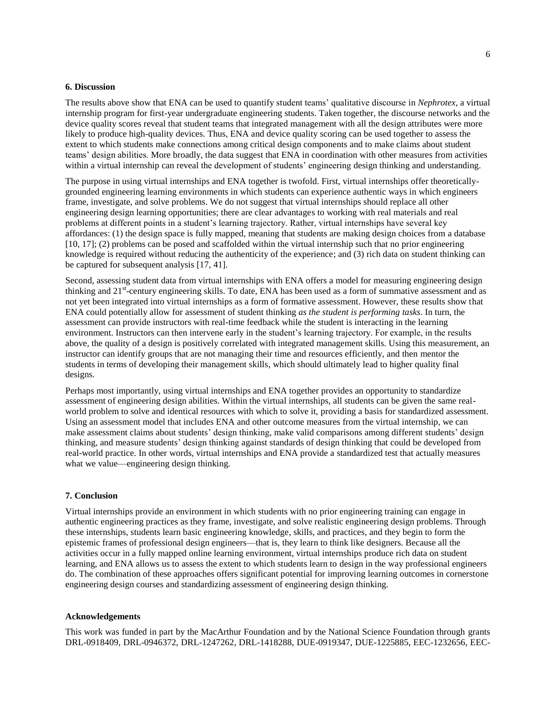# **6. Discussion**

The results above show that ENA can be used to quantify student teams' qualitative discourse in *Nephrotex*, a virtual internship program for first-year undergraduate engineering students. Taken together, the discourse networks and the device quality scores reveal that student teams that integrated management with all the design attributes were more likely to produce high-quality devices. Thus, ENA and device quality scoring can be used together to assess the extent to which students make connections among critical design components and to make claims about student teams' design abilities. More broadly, the data suggest that ENA in coordination with other measures from activities within a virtual internship can reveal the development of students' engineering design thinking and understanding.

The purpose in using virtual internships and ENA together is twofold. First, virtual internships offer theoreticallygrounded engineering learning environments in which students can experience authentic ways in which engineers frame, investigate, and solve problems. We do not suggest that virtual internships should replace all other engineering design learning opportunities; there are clear advantages to working with real materials and real problems at different points in a student's learning trajectory. Rather, virtual internships have several key affordances: (1) the design space is fully mapped, meaning that students are making design choices from a database [10, 17]; (2) problems can be posed and scaffolded within the virtual internship such that no prior engineering knowledge is required without reducing the authenticity of the experience; and (3) rich data on student thinking can be captured for subsequent analysis [17, 41].

Second, assessing student data from virtual internships with ENA offers a model for measuring engineering design thinking and 21<sup>st</sup>-century engineering skills. To date, ENA has been used as a form of summative assessment and as not yet been integrated into virtual internships as a form of formative assessment. However, these results show that ENA could potentially allow for assessment of student thinking *as the student is performing tasks*. In turn, the assessment can provide instructors with real-time feedback while the student is interacting in the learning environment. Instructors can then intervene early in the student's learning trajectory. For example, in the results above, the quality of a design is positively correlated with integrated management skills. Using this measurement, an instructor can identify groups that are not managing their time and resources efficiently, and then mentor the students in terms of developing their management skills, which should ultimately lead to higher quality final designs.

Perhaps most importantly, using virtual internships and ENA together provides an opportunity to standardize assessment of engineering design abilities. Within the virtual internships, all students can be given the same realworld problem to solve and identical resources with which to solve it, providing a basis for standardized assessment. Using an assessment model that includes ENA and other outcome measures from the virtual internship, we can make assessment claims about students' design thinking, make valid comparisons among different students' design thinking, and measure students' design thinking against standards of design thinking that could be developed from real-world practice. In other words, virtual internships and ENA provide a standardized test that actually measures what we value—engineering design thinking.

### **7. Conclusion**

Virtual internships provide an environment in which students with no prior engineering training can engage in authentic engineering practices as they frame, investigate, and solve realistic engineering design problems. Through these internships, students learn basic engineering knowledge, skills, and practices, and they begin to form the epistemic frames of professional design engineers—that is, they learn to think like designers. Because all the activities occur in a fully mapped online learning environment, virtual internships produce rich data on student learning, and ENA allows us to assess the extent to which students learn to design in the way professional engineers do. The combination of these approaches offers significant potential for improving learning outcomes in cornerstone engineering design courses and standardizing assessment of engineering design thinking.

### **Acknowledgements**

This work was funded in part by the MacArthur Foundation and by the National Science Foundation through grants DRL-0918409, DRL-0946372, DRL-1247262, DRL-1418288, DUE-0919347, DUE-1225885, EEC-1232656, EEC-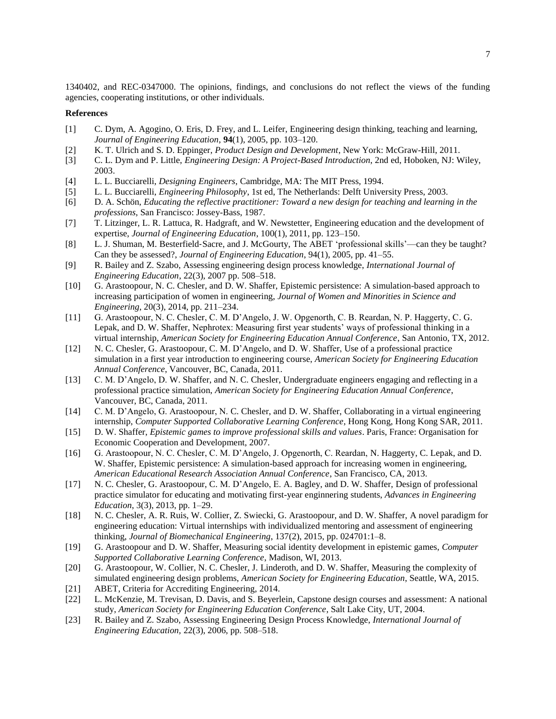1340402, and REC-0347000. The opinions, findings, and conclusions do not reflect the views of the funding agencies, cooperating institutions, or other individuals.

### **References**

- [1] C. Dym, A. Agogino, O. Eris, D. Frey, and L. Leifer, Engineering design thinking, teaching and learning, *Journal of Engineering Education*, **94**(1), 2005, pp. 103–120.
- [2] K. T. Ulrich and S. D. Eppinger, *Product Design and Development*, New York: McGraw-Hill, 2011.
- [3] C. L. Dym and P. Little, *Engineering Design: A Project-Based Introduction*, 2nd ed, Hoboken, NJ: Wiley, 2003.
- [4] L. L. Bucciarelli, *Designing Engineers*, Cambridge, MA: The MIT Press, 1994.
- [5] L. L. Bucciarelli, *Engineering Philosophy*, 1st ed, The Netherlands: Delft University Press, 2003.
- [6] D. A. Schön, *Educating the reflective practitioner: Toward a new design for teaching and learning in the professions*, San Francisco: Jossey-Bass, 1987.
- [7] T. Litzinger, L. R. Lattuca, R. Hadgraft, and W. Newstetter, Engineering education and the development of expertise, *Journal of Engineering Education*, 100(1), 2011, pp. 123–150.
- [8] L. J. Shuman, M. Besterfield‐Sacre, and J. McGourty, The ABET 'professional skills'—can they be taught? Can they be assessed?, *Journal of Engineering Education*, 94(1), 2005, pp. 41–55.
- [9] R. Bailey and Z. Szabo, Assessing engineering design process knowledge, *International Journal of Engineering Education*, 22(3), 2007 pp. 508–518.
- [10] G. Arastoopour, N. C. Chesler, and D. W. Shaffer, Epistemic persistence: A simulation-based approach to increasing participation of women in engineering, *Journal of Women and Minorities in Science and Engineering*, 20(3), 2014, pp. 211–234.
- [11] G. Arastoopour, N. C. Chesler, C. M. D'Angelo, J. W. Opgenorth, C. B. Reardan, N. P. Haggerty, C. G. Lepak, and D. W. Shaffer, Nephrotex: Measuring first year students' ways of professional thinking in a virtual internship, *American Society for Engineering Education Annual Conference*, San Antonio, TX, 2012.
- [12] N. C. Chesler, G. Arastoopour, C. M. D'Angelo, and D. W. Shaffer, Use of a professional practice simulation in a first year introduction to engineering course, *American Society for Engineering Education Annual Conference*, Vancouver, BC, Canada, 2011.
- [13] C. M. D'Angelo, D. W. Shaffer, and N. C. Chesler, Undergraduate engineers engaging and reflecting in a professional practice simulation, *American Society for Engineering Education Annual Conference*, Vancouver, BC, Canada, 2011.
- [14] C. M. D'Angelo, G. Arastoopour, N. C. Chesler, and D. W. Shaffer, Collaborating in a virtual engineering internship, *Computer Supported Collaborative Learning Conference*, Hong Kong, Hong Kong SAR, 2011.
- [15] D. W. Shaffer, *Epistemic games to improve professional skills and values*. Paris, France: Organisation for Economic Cooperation and Development, 2007.
- [16] G. Arastoopour, N. C. Chesler, C. M. D'Angelo, J. Opgenorth, C. Reardan, N. Haggerty, C. Lepak, and D. W. Shaffer, Epistemic persistence: A simulation-based approach for increasing women in engineering, *American Educational Research Association Annual Conference*, San Francisco, CA, 2013.
- [17] N. C. Chesler, G. Arastoopour, C. M. D'Angelo, E. A. Bagley, and D. W. Shaffer, Design of professional practice simulator for educating and motivating first-year enginnering students, *Advances in Engineering Education*, 3(3), 2013, pp. 1–29.
- [18] N. C. Chesler, A. R. Ruis, W. Collier, Z. Swiecki, G. Arastoopour, and D. W. Shaffer, A novel paradigm for engineering education: Virtual internships with individualized mentoring and assessment of engineering thinking, *Journal of Biomechanical Engineering*, 137(2), 2015, pp. 024701:1–8.
- [19] G. Arastoopour and D. W. Shaffer, Measuring social identity development in epistemic games, *Computer Supported Collaborative Learning Conference*, Madison, WI, 2013.
- [20] G. Arastoopour, W. Collier, N. C. Chesler, J. Linderoth, and D. W. Shaffer, Measuring the complexity of simulated engineering design problems, *American Society for Engineering Education*, Seattle, WA, 2015.
- [21] ABET, Criteria for Accrediting Engineering, 2014.
- [22] L. McKenzie, M. Trevisan, D. Davis, and S. Beyerlein, Capstone design courses and assessment: A national study, *American Society for Engineering Education Conference*, Salt Lake City, UT, 2004.
- [23] R. Bailey and Z. Szabo, Assessing Engineering Design Process Knowledge, *International Journal of Engineering Education,* 22(3), 2006, pp. 508–518.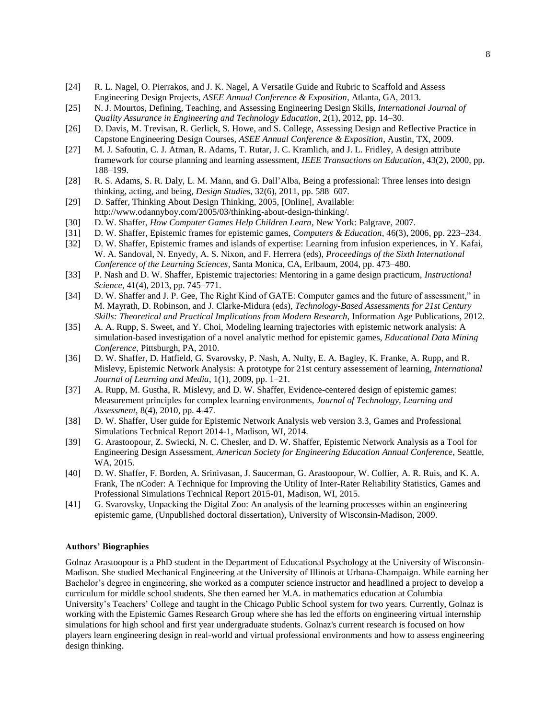- [24] R. L. Nagel, O. Pierrakos, and J. K. Nagel, A Versatile Guide and Rubric to Scaffold and Assess Engineering Design Projects, *ASEE Annual Conference & Exposition*, Atlanta, GA, 2013.
- [25] N. J. Mourtos, Defining, Teaching, and Assessing Engineering Design Skills, *International Journal of Quality Assurance in Engineering and Technology Education*, 2(1), 2012, pp. 14–30.
- [26] D. Davis, M. Trevisan, R. Gerlick, S. Howe, and S. College, Assessing Design and Reflective Practice in Capstone Engineering Design Courses, *ASEE Annual Conference & Exposition*, Austin, TX, 2009.
- [27] M. J. Safoutin, C. J. Atman, R. Adams, T. Rutar, J. C. Kramlich, and J. L. Fridley, A design attribute framework for course planning and learning assessment, *IEEE Transactions on Education*, 43(2), 2000, pp. 188–199.
- [28] R. S. Adams, S. R. Daly, L. M. Mann, and G. Dall'Alba, Being a professional: Three lenses into design thinking, acting, and being, *Design Studies*, 32(6), 2011, pp. 588–607.
- [29] D. Saffer, Thinking About Design Thinking, 2005, [Online], Available: http://www.odannyboy.com/2005/03/thinking-about-design-thinking/.
- [30] D. W. Shaffer, *How Computer Games Help Children Learn*, New York: Palgrave, 2007.
- [31] D. W. Shaffer, Epistemic frames for epistemic games, *Computers & Education*, 46(3), 2006, pp. 223–234.
- [32] D. W. Shaffer, Epistemic frames and islands of expertise: Learning from infusion experiences, in Y. Kafai, W. A. Sandoval, N. Enyedy, A. S. Nixon, and F. Herrera (eds), *Proceedings of the Sixth International Conference of the Learning Sciences*, Santa Monica, CA, Erlbaum, 2004, pp. 473–480.
- [33] P. Nash and D. W. Shaffer, Epistemic trajectories: Mentoring in a game design practicum, *Instructional Science*, 41(4), 2013, pp. 745–771.
- [34] D. W. Shaffer and J. P. Gee, The Right Kind of GATE: Computer games and the future of assessment," in M. Mayrath, D. Robinson, and J. Clarke-Midura (eds), *Technology-Based Assessments for 21st Century Skills: Theoretical and Practical Implications from Modern Research*, Information Age Publications, 2012.
- [35] A. A. Rupp, S. Sweet, and Y. Choi, Modeling learning trajectories with epistemic network analysis: A simulation-based investigation of a novel analytic method for epistemic games, *Educational Data Mining Conference*, Pittsburgh, PA, 2010.
- [36] D. W. Shaffer, D. Hatfield, G. Svarovsky, P. Nash, A. Nulty, E. A. Bagley, K. Franke, A. Rupp, and R. Mislevy, Epistemic Network Analysis: A prototype for 21st century assessement of learning, *International Journal of Learning and Media*, 1(1), 2009, pp. 1–21.
- [37] A. Rupp, M. Gustha, R. Mislevy, and D. W. Shaffer, Evidence-centered design of epistemic games: Measurement principles for complex learning environments, *Journal of Technology, Learning and Assessment*, 8(4), 2010, pp. 4-47.
- [38] D. W. Shaffer, User guide for Epistemic Network Analysis web version 3.3, Games and Professional Simulations Technical Report 2014-1, Madison, WI, 2014.
- [39] G. Arastoopour, Z. Swiecki, N. C. Chesler, and D. W. Shaffer, Epistemic Network Analysis as a Tool for Engineering Design Assessment, *American Society for Engineering Education Annual Conference*, Seattle, WA, 2015.
- [40] D. W. Shaffer, F. Borden, A. Srinivasan, J. Saucerman, G. Arastoopour, W. Collier, A. R. Ruis, and K. A. Frank, The nCoder: A Technique for Improving the Utility of Inter-Rater Reliability Statistics, Games and Professional Simulations Technical Report 2015-01, Madison, WI, 2015.
- [41] G. Svarovsky, Unpacking the Digital Zoo: An analysis of the learning processes within an engineering epistemic game, (Unpublished doctoral dissertation), University of Wisconsin-Madison, 2009.

### **Authors' Biographies**

Golnaz Arastoopour is a PhD student in the Department of Educational Psychology at the University of Wisconsin-Madison. She studied Mechanical Engineering at the University of Illinois at Urbana-Champaign. While earning her Bachelor's degree in engineering, she worked as a computer science instructor and headlined a project to develop a curriculum for middle school students. She then earned her M.A. in mathematics education at Columbia University's Teachers' College and taught in the Chicago Public School system for two years. Currently, Golnaz is working with the Epistemic Games Research Group where she has led the efforts on engineering virtual internship simulations for high school and first year undergraduate students. Golnaz's current research is focused on how players learn engineering design in real-world and virtual professional environments and how to assess engineering design thinking.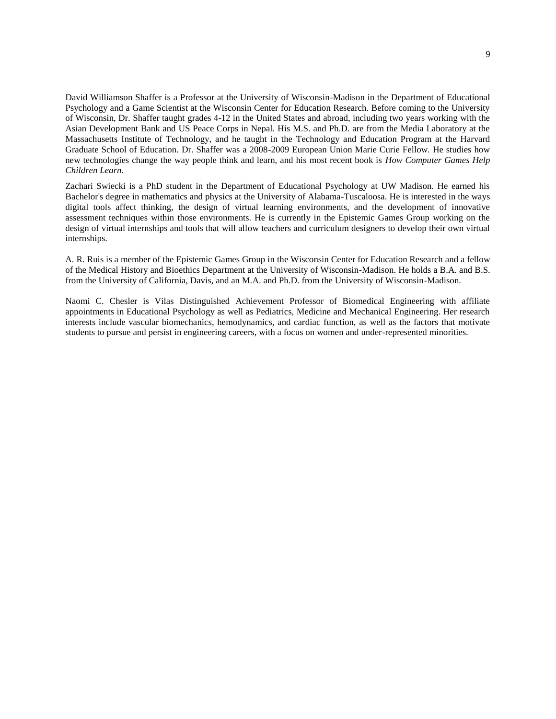David Williamson Shaffer is a Professor at the University of Wisconsin-Madison in the Department of Educational Psychology and a Game Scientist at the Wisconsin Center for Education Research. Before coming to the University of Wisconsin, Dr. Shaffer taught grades 4-12 in the United States and abroad, including two years working with the Asian Development Bank and US Peace Corps in Nepal. His M.S. and Ph.D. are from the Media Laboratory at the Massachusetts Institute of Technology, and he taught in the Technology and Education Program at the Harvard Graduate School of Education. Dr. Shaffer was a 2008-2009 European Union Marie Curie Fellow. He studies how new technologies change the way people think and learn, and his most recent book is *How Computer Games Help Children Learn*.

Zachari Swiecki is a PhD student in the Department of Educational Psychology at UW Madison. He earned his Bachelor's degree in mathematics and physics at the University of Alabama-Tuscaloosa. He is interested in the ways digital tools affect thinking, the design of virtual learning environments, and the development of innovative assessment techniques within those environments. He is currently in the Epistemic Games Group working on the design of virtual internships and tools that will allow teachers and curriculum designers to develop their own virtual internships.

A. R. Ruis is a member of the Epistemic Games Group in the Wisconsin Center for Education Research and a fellow of the Medical History and Bioethics Department at the University of Wisconsin-Madison. He holds a B.A. and B.S. from the University of California, Davis, and an M.A. and Ph.D. from the University of Wisconsin-Madison.

Naomi C. Chesler is Vilas Distinguished Achievement Professor of Biomedical Engineering with affiliate appointments in Educational Psychology as well as Pediatrics, Medicine and Mechanical Engineering. Her research interests include vascular biomechanics, hemodynamics, and cardiac function, as well as the factors that motivate students to pursue and persist in engineering careers, with a focus on women and under-represented minorities.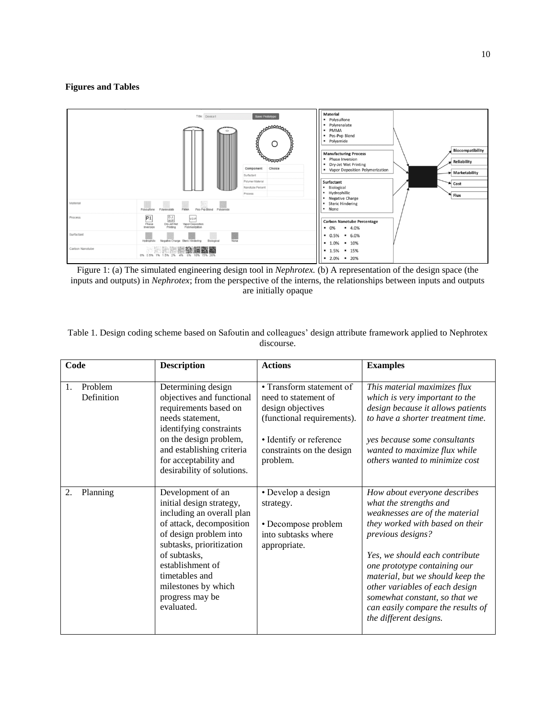# **Figures and Tables**



Figure 1: (a) The simulated engineering design tool in *Nephrotex.* (b) A representation of the design space (the inputs and outputs) in *Nephrotex*; from the perspective of the interns, the relationships between inputs and outputs are initially opaque

| Table 1. Design coding scheme based on Safoutin and colleagues' design attribute framework applied to Nephrotex |  |
|-----------------------------------------------------------------------------------------------------------------|--|
| discourse.                                                                                                      |  |

| Code |                       | <b>Description</b>                                                                                                                                                                                                                                                         | <b>Actions</b>                                                                                                                                                          | <b>Examples</b>                                                                                                                                                                                                                                                                                                                                                                          |
|------|-----------------------|----------------------------------------------------------------------------------------------------------------------------------------------------------------------------------------------------------------------------------------------------------------------------|-------------------------------------------------------------------------------------------------------------------------------------------------------------------------|------------------------------------------------------------------------------------------------------------------------------------------------------------------------------------------------------------------------------------------------------------------------------------------------------------------------------------------------------------------------------------------|
| 1.   | Problem<br>Definition | Determining design<br>objectives and functional<br>requirements based on<br>needs statement,<br>identifying constraints<br>on the design problem,<br>and establishing criteria<br>for acceptability and<br>desirability of solutions.                                      | • Transform statement of<br>need to statement of<br>design objectives<br>(functional requirements).<br>• Identify or reference<br>constraints on the design<br>problem. | This material maximizes flux<br>which is very important to the<br>design because it allows patients<br>to have a shorter treatment time.<br>yes because some consultants<br>wanted to maximize flux while<br>others wanted to minimize cost                                                                                                                                              |
| 2.   | Planning              | Development of an<br>initial design strategy,<br>including an overall plan<br>of attack, decomposition<br>of design problem into<br>subtasks, prioritization<br>of subtasks,<br>establishment of<br>timetables and<br>milestones by which<br>progress may be<br>evaluated. | • Develop a design<br>strategy.<br>• Decompose problem<br>into subtasks where<br>appropriate.                                                                           | How about everyone describes<br>what the strengths and<br>weaknesses are of the material<br>they worked with based on their<br>previous designs?<br>Yes, we should each contribute<br>one prototype containing our<br>material, but we should keep the<br>other variables of each design<br>somewhat constant, so that we<br>can easily compare the results of<br>the different designs. |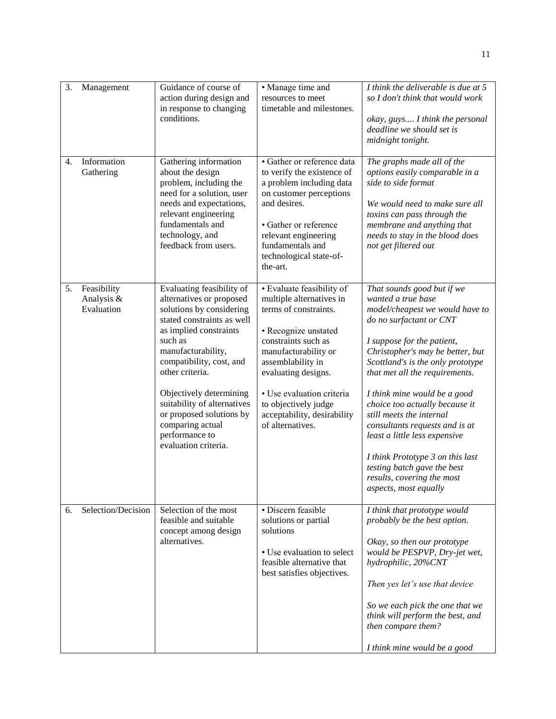| 3. | Management                              | Guidance of course of<br>action during design and<br>in response to changing<br>conditions.                                                                                                                                                                                                                                                                                   | • Manage time and<br>resources to meet<br>timetable and milestones.                                                                                                                                                                                                                                       | I think the deliverable is due at 5<br>so I don't think that would work<br>okay, guys I think the personal<br>deadline we should set is<br>midnight tonight.                                                                                                                                                                                                                                                                                                                                                                                       |
|----|-----------------------------------------|-------------------------------------------------------------------------------------------------------------------------------------------------------------------------------------------------------------------------------------------------------------------------------------------------------------------------------------------------------------------------------|-----------------------------------------------------------------------------------------------------------------------------------------------------------------------------------------------------------------------------------------------------------------------------------------------------------|----------------------------------------------------------------------------------------------------------------------------------------------------------------------------------------------------------------------------------------------------------------------------------------------------------------------------------------------------------------------------------------------------------------------------------------------------------------------------------------------------------------------------------------------------|
| 4. | Information<br>Gathering                | Gathering information<br>about the design<br>problem, including the<br>need for a solution, user<br>needs and expectations,<br>relevant engineering<br>fundamentals and<br>technology, and<br>feedback from users.                                                                                                                                                            | · Gather or reference data<br>to verify the existence of<br>a problem including data<br>on customer perceptions<br>and desires.<br>• Gather or reference<br>relevant engineering<br>fundamentals and<br>technological state-of-<br>the-art.                                                               | The graphs made all of the<br>options easily comparable in a<br>side to side format<br>We would need to make sure all<br>toxins can pass through the<br>membrane and anything that<br>needs to stay in the blood does<br>not get filtered out                                                                                                                                                                                                                                                                                                      |
| 5. | Feasibility<br>Analysis &<br>Evaluation | Evaluating feasibility of<br>alternatives or proposed<br>solutions by considering<br>stated constraints as well<br>as implied constraints<br>such as<br>manufacturability,<br>compatibility, cost, and<br>other criteria.<br>Objectively determining<br>suitability of alternatives<br>or proposed solutions by<br>comparing actual<br>performance to<br>evaluation criteria. | • Evaluate feasibility of<br>multiple alternatives in<br>terms of constraints.<br>• Recognize unstated<br>constraints such as<br>manufacturability or<br>assemblability in<br>evaluating designs.<br>· Use evaluation criteria<br>to objectively judge<br>acceptability, desirability<br>of alternatives. | That sounds good but if we<br>wanted a true base<br>model/cheapest we would have to<br>do no surfactant or CNT<br>I suppose for the patient,<br>Christopher's may be better, but<br>Scottland's is the only prototype<br>that met all the requirements.<br>I think mine would be a good<br>choice too actually because it<br>still meets the internal<br>consultants requests and is at<br>least a little less expensive<br>I think Prototype 3 on this last<br>testing batch gave the best<br>results, covering the most<br>aspects, most equally |
| 6. | Selection/Decision                      | Selection of the most<br>feasible and suitable<br>concept among design<br>alternatives.                                                                                                                                                                                                                                                                                       | · Discern feasible<br>solutions or partial<br>solutions<br>• Use evaluation to select<br>feasible alternative that<br>best satisfies objectives.                                                                                                                                                          | I think that prototype would<br>probably be the best option.<br>Okay, so then our prototype<br>would be PESPVP, Dry-jet wet,<br>hydrophilic, 20%CNT<br>Then yes let's use that device<br>So we each pick the one that we<br>think will perform the best, and<br>then compare them?<br>I think mine would be a good                                                                                                                                                                                                                                 |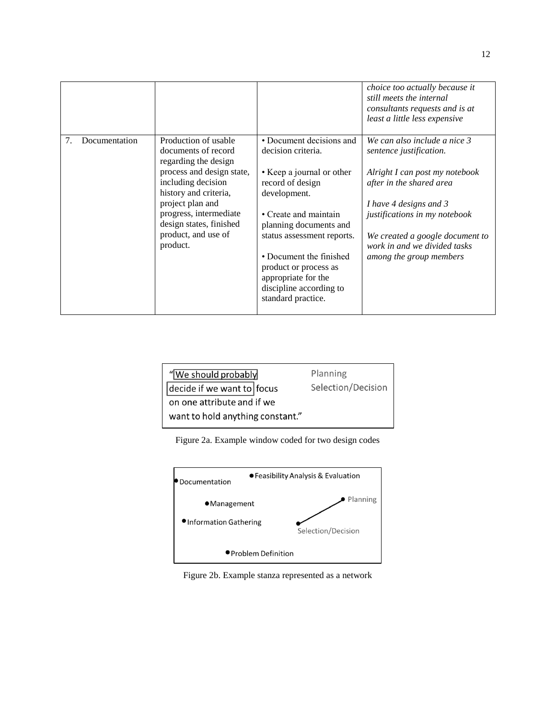|    |               |                                                                          |                                                                         | choice too actually because it<br>still meets the internal<br>consultants requests and is at<br>least a little less expensive |
|----|---------------|--------------------------------------------------------------------------|-------------------------------------------------------------------------|-------------------------------------------------------------------------------------------------------------------------------|
| 7. | Documentation | Production of usable<br>documents of record<br>regarding the design      | • Document decisions and<br>decision criteria.                          | We can also include a nice 3<br>sentence justification.                                                                       |
|    |               | process and design state,<br>including decision<br>history and criteria, | • Keep a journal or other<br>record of design<br>development.           | Alright I can post my notebook<br>after in the shared area                                                                    |
|    |               | project plan and                                                         |                                                                         | I have 4 designs and 3                                                                                                        |
|    |               | progress, intermediate<br>design states, finished                        | • Create and maintain<br>planning documents and                         | justifications in my notebook                                                                                                 |
|    |               | product, and use of<br>product.                                          | status assessment reports.                                              | We created a google document to<br>work in and we divided tasks                                                               |
|    |               |                                                                          | • Document the finished<br>product or process as<br>appropriate for the | among the group members                                                                                                       |
|    |               |                                                                          | discipline according to<br>standard practice.                           |                                                                                                                               |
|    |               |                                                                          |                                                                         |                                                                                                                               |

| "We should probably                | Planning           |  |
|------------------------------------|--------------------|--|
| $\vert$ decide if we want to focus | Selection/Decision |  |
| on one attribute and if we         |                    |  |
| want to hold anything constant."   |                    |  |
|                                    |                    |  |





Figure 2b. Example stanza represented as a network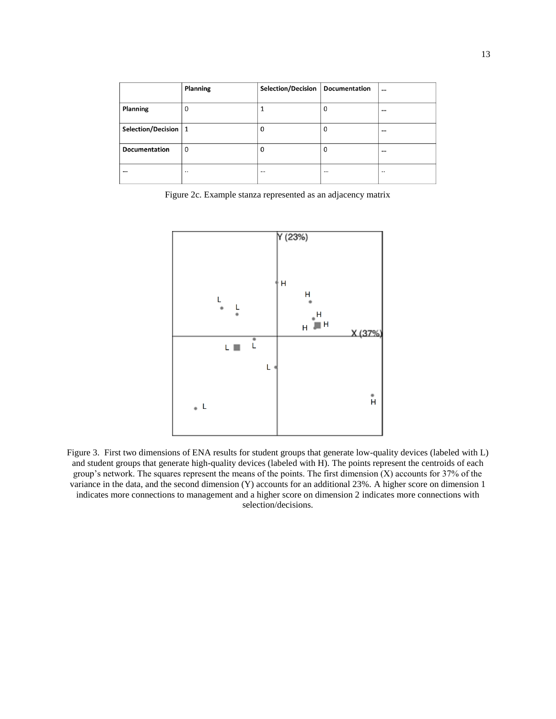|                         | <b>Planning</b> | Selection/Decision | <b>Documentation</b> | $\cdots$ |
|-------------------------|-----------------|--------------------|----------------------|----------|
| <b>Planning</b>         | 0               |                    | 0                    |          |
| Selection/Decision $ 1$ |                 | 0                  | 0                    | $\cdots$ |
| <b>Documentation</b>    | 0               | 0                  | 0                    |          |
| $\cdots$                |                 | $\cdots$           |                      |          |

Figure 2c. Example stanza represented as an adjacency matrix



Figure 3. First two dimensions of ENA results for student groups that generate low-quality devices (labeled with L) and student groups that generate high-quality devices (labeled with H). The points represent the centroids of each group's network. The squares represent the means of the points. The first dimension (X) accounts for 37% of the variance in the data, and the second dimension (Y) accounts for an additional 23%. A higher score on dimension 1 indicates more connections to management and a higher score on dimension 2 indicates more connections with selection/decisions.